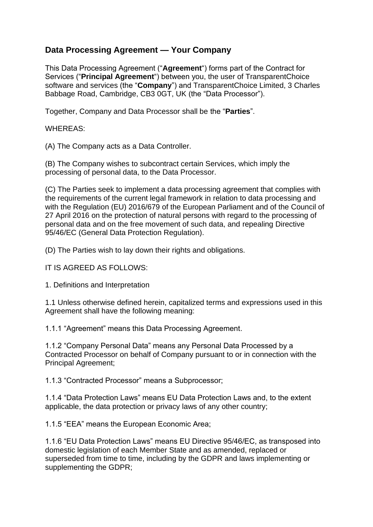# **Data Processing Agreement — Your Company**

This Data Processing Agreement ("**Agreement**") forms part of the Contract for Services ("**Principal Agreement**") between you, the user of TransparentChoice software and services (the "**Company**") and TransparentChoice Limited, 3 Charles Babbage Road, Cambridge, CB3 0GT, UK (the "Data Processor").

Together, Company and Data Processor shall be the "**Parties**".

WHEREAS:

(A) The Company acts as a Data Controller.

(B) The Company wishes to subcontract certain Services, which imply the processing of personal data, to the Data Processor.

(C) The Parties seek to implement a data processing agreement that complies with the requirements of the current legal framework in relation to data processing and with the Regulation (EU) 2016/679 of the European Parliament and of the Council of 27 April 2016 on the protection of natural persons with regard to the processing of personal data and on the free movement of such data, and repealing Directive 95/46/EC (General Data Protection Regulation).

(D) The Parties wish to lay down their rights and obligations.

IT IS AGREED AS FOLLOWS:

1. Definitions and Interpretation

1.1 Unless otherwise defined herein, capitalized terms and expressions used in this Agreement shall have the following meaning:

1.1.1 "Agreement" means this Data Processing Agreement.

1.1.2 "Company Personal Data" means any Personal Data Processed by a Contracted Processor on behalf of Company pursuant to or in connection with the Principal Agreement;

1.1.3 "Contracted Processor" means a Subprocessor;

1.1.4 "Data Protection Laws" means EU Data Protection Laws and, to the extent applicable, the data protection or privacy laws of any other country;

1.1.5 "EEA" means the European Economic Area;

1.1.6 "EU Data Protection Laws" means EU Directive 95/46/EC, as transposed into domestic legislation of each Member State and as amended, replaced or superseded from time to time, including by the GDPR and laws implementing or supplementing the GDPR;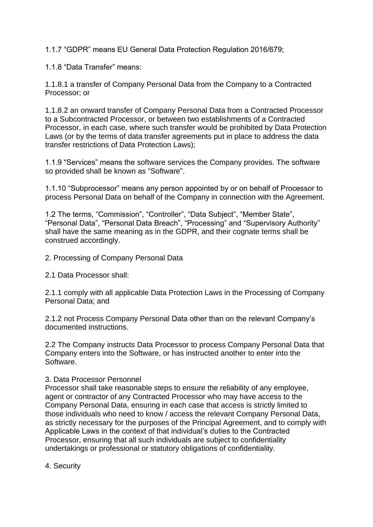1.1.7 "GDPR" means EU General Data Protection Regulation 2016/679;

1.1.8 "Data Transfer" means:

1.1.8.1 a transfer of Company Personal Data from the Company to a Contracted Processor; or

1.1.8.2 an onward transfer of Company Personal Data from a Contracted Processor to a Subcontracted Processor, or between two establishments of a Contracted Processor, in each case, where such transfer would be prohibited by Data Protection Laws (or by the terms of data transfer agreements put in place to address the data transfer restrictions of Data Protection Laws);

1.1.9 "Services" means the software services the Company provides. The software so provided shall be known as "Software".

1.1.10 "Subprocessor" means any person appointed by or on behalf of Processor to process Personal Data on behalf of the Company in connection with the Agreement.

1.2 The terms, "Commission", "Controller", "Data Subject", "Member State", "Personal Data", "Personal Data Breach", "Processing" and "Supervisory Authority" shall have the same meaning as in the GDPR, and their cognate terms shall be construed accordingly.

2. Processing of Company Personal Data

2.1 Data Processor shall:

2.1.1 comply with all applicable Data Protection Laws in the Processing of Company Personal Data; and

2.1.2 not Process Company Personal Data other than on the relevant Company's documented instructions.

2.2 The Company instructs Data Processor to process Company Personal Data that Company enters into the Software, or has instructed another to enter into the Software.

#### 3. Data Processor Personnel

Processor shall take reasonable steps to ensure the reliability of any employee, agent or contractor of any Contracted Processor who may have access to the Company Personal Data, ensuring in each case that access is strictly limited to those individuals who need to know / access the relevant Company Personal Data, as strictly necessary for the purposes of the Principal Agreement, and to comply with Applicable Laws in the context of that individual's duties to the Contracted Processor, ensuring that all such individuals are subject to confidentiality undertakings or professional or statutory obligations of confidentiality.

4. Security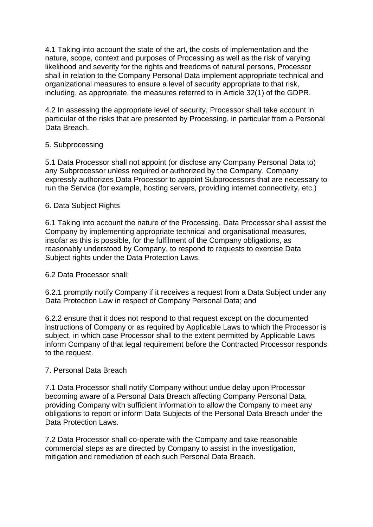4.1 Taking into account the state of the art, the costs of implementation and the nature, scope, context and purposes of Processing as well as the risk of varying likelihood and severity for the rights and freedoms of natural persons, Processor shall in relation to the Company Personal Data implement appropriate technical and organizational measures to ensure a level of security appropriate to that risk, including, as appropriate, the measures referred to in Article 32(1) of the GDPR.

4.2 In assessing the appropriate level of security, Processor shall take account in particular of the risks that are presented by Processing, in particular from a Personal Data Breach.

#### 5. Subprocessing

5.1 Data Processor shall not appoint (or disclose any Company Personal Data to) any Subprocessor unless required or authorized by the Company. Company expressly authorizes Data Processor to appoint Subprocessors that are necessary to run the Service (for example, hosting servers, providing internet connectivity, etc.)

### 6. Data Subject Rights

6.1 Taking into account the nature of the Processing, Data Processor shall assist the Company by implementing appropriate technical and organisational measures, insofar as this is possible, for the fulfilment of the Company obligations, as reasonably understood by Company, to respond to requests to exercise Data Subject rights under the Data Protection Laws.

6.2 Data Processor shall:

6.2.1 promptly notify Company if it receives a request from a Data Subject under any Data Protection Law in respect of Company Personal Data; and

6.2.2 ensure that it does not respond to that request except on the documented instructions of Company or as required by Applicable Laws to which the Processor is subject, in which case Processor shall to the extent permitted by Applicable Laws inform Company of that legal requirement before the Contracted Processor responds to the request.

#### 7. Personal Data Breach

7.1 Data Processor shall notify Company without undue delay upon Processor becoming aware of a Personal Data Breach affecting Company Personal Data, providing Company with sufficient information to allow the Company to meet any obligations to report or inform Data Subjects of the Personal Data Breach under the Data Protection Laws.

7.2 Data Processor shall co-operate with the Company and take reasonable commercial steps as are directed by Company to assist in the investigation, mitigation and remediation of each such Personal Data Breach.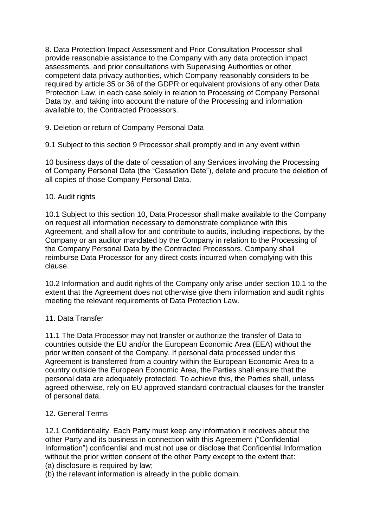8. Data Protection Impact Assessment and Prior Consultation Processor shall provide reasonable assistance to the Company with any data protection impact assessments, and prior consultations with Supervising Authorities or other competent data privacy authorities, which Company reasonably considers to be required by article 35 or 36 of the GDPR or equivalent provisions of any other Data Protection Law, in each case solely in relation to Processing of Company Personal Data by, and taking into account the nature of the Processing and information available to, the Contracted Processors.

9. Deletion or return of Company Personal Data

9.1 Subject to this section 9 Processor shall promptly and in any event within

10 business days of the date of cessation of any Services involving the Processing of Company Personal Data (the "Cessation Date"), delete and procure the deletion of all copies of those Company Personal Data.

#### 10. Audit rights

10.1 Subject to this section 10, Data Processor shall make available to the Company on request all information necessary to demonstrate compliance with this Agreement, and shall allow for and contribute to audits, including inspections, by the Company or an auditor mandated by the Company in relation to the Processing of the Company Personal Data by the Contracted Processors. Company shall reimburse Data Processor for any direct costs incurred when complying with this clause.

10.2 Information and audit rights of the Company only arise under section 10.1 to the extent that the Agreement does not otherwise give them information and audit rights meeting the relevant requirements of Data Protection Law.

#### 11. Data Transfer

11.1 The Data Processor may not transfer or authorize the transfer of Data to countries outside the EU and/or the European Economic Area (EEA) without the prior written consent of the Company. If personal data processed under this Agreement is transferred from a country within the European Economic Area to a country outside the European Economic Area, the Parties shall ensure that the personal data are adequately protected. To achieve this, the Parties shall, unless agreed otherwise, rely on EU approved standard contractual clauses for the transfer of personal data.

## 12. General Terms

12.1 Confidentiality. Each Party must keep any information it receives about the other Party and its business in connection with this Agreement ("Confidential Information") confidential and must not use or disclose that Confidential Information without the prior written consent of the other Party except to the extent that: (a) disclosure is required by law;

(b) the relevant information is already in the public domain.